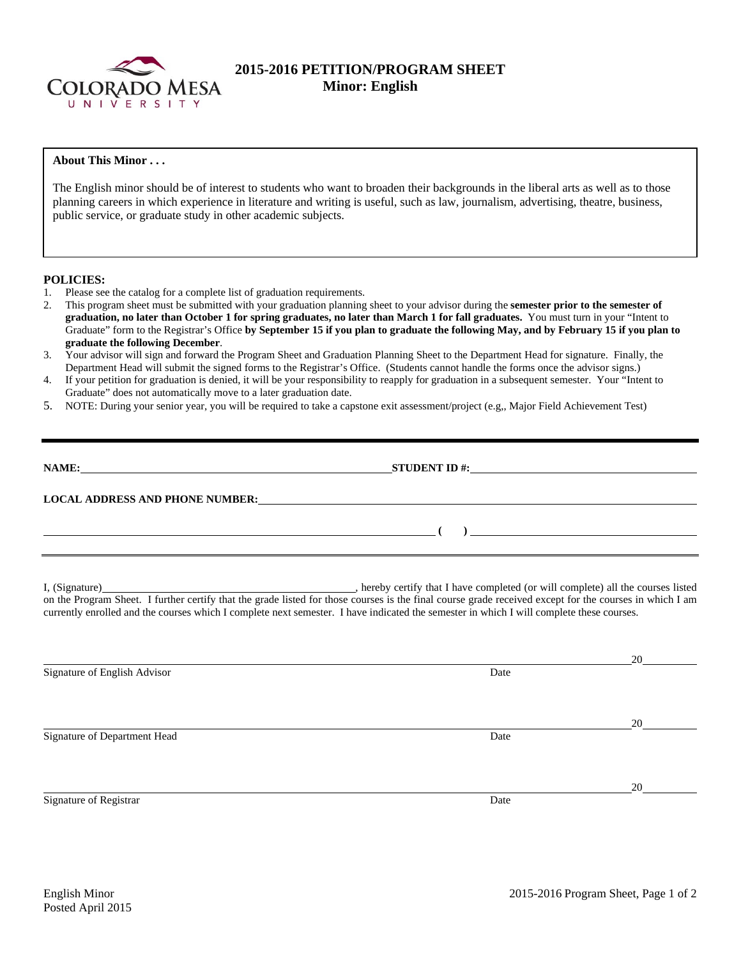

# **2015-2016 PETITION/PROGRAM SHEET Minor: English**

# **About This Minor . . .**

The English minor should be of interest to students who want to broaden their backgrounds in the liberal arts as well as to those planning careers in which experience in literature and writing is useful, such as law, journalism, advertising, theatre, business, public service, or graduate study in other academic subjects.

### **POLICIES:**

- 1. Please see the catalog for a complete list of graduation requirements.
- 2. This program sheet must be submitted with your graduation planning sheet to your advisor during the **semester prior to the semester of graduation, no later than October 1 for spring graduates, no later than March 1 for fall graduates.** You must turn in your "Intent to Graduate" form to the Registrar's Office **by September 15 if you plan to graduate the following May, and by February 15 if you plan to graduate the following December**.
- 3. Your advisor will sign and forward the Program Sheet and Graduation Planning Sheet to the Department Head for signature. Finally, the Department Head will submit the signed forms to the Registrar's Office. (Students cannot handle the forms once the advisor signs.)
- 4. If your petition for graduation is denied, it will be your responsibility to reapply for graduation in a subsequent semester. Your "Intent to Graduate" does not automatically move to a later graduation date.
- 5. NOTE: During your senior year, you will be required to take a capstone exit assessment/project (e.g,, Major Field Achievement Test)

| NAME:                                  | STUDENT ID $\#$ :                                                             |  |
|----------------------------------------|-------------------------------------------------------------------------------|--|
| <b>LOCAL ADDRESS AND PHONE NUMBER:</b> | <u> 1980 - Jan Sarajević, politički politički politički kalendar († 1908)</u> |  |
|                                        |                                                                               |  |
|                                        |                                                                               |  |

I, (Signature) , hereby certify that I have completed (or will complete) all the courses listed on the Program Sheet. I further certify that the grade listed for those courses is the final course grade received except for the courses in which I am currently enrolled and the courses which I complete next semester. I have indicated the semester in which I will complete these courses.

|                              |      | 20 |
|------------------------------|------|----|
| Signature of English Advisor | Date |    |
|                              |      |    |
|                              |      |    |
|                              |      | 20 |
| Signature of Department Head | Date |    |
|                              |      |    |
|                              |      |    |
|                              |      | 20 |
| Signature of Registrar       | Date |    |
|                              |      |    |